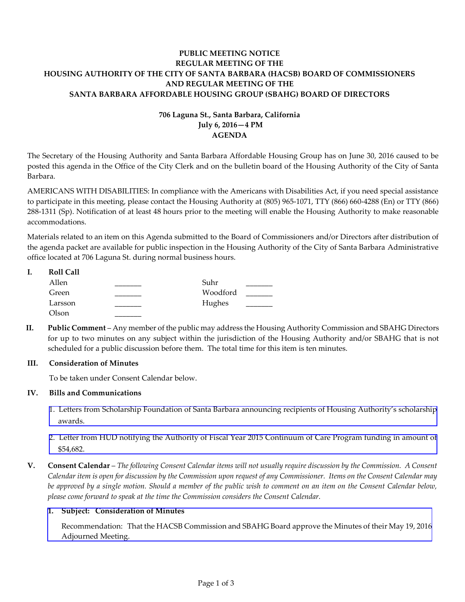# **PUBLIC MEETING NOTICE REGULAR MEETING OF THE HOUSING AUTHORITY OF THE CITY OF SANTA BARBARA (HACSB) BOARD OF COMMISSIONERS AND REGULAR MEETING OF THE SANTA BARBARA AFFORDABLE HOUSING GROUP (SBAHG) BOARD OF DIRECTORS**

# **706 Laguna St., Santa Barbara, California July 6, 2016—4 PM AGENDA**

The Secretary of the Housing Authority and Santa Barbara Affordable Housing Group has on June 30, 2016 caused to be posted this agenda in the Office of the City Clerk and on the bulletin board of the Housing Authority of the City of Santa Barbara.

AMERICANS WITH DISABILITIES: In compliance with the Americans with Disabilities Act, if you need special assistance to participate in this meeting, please contact the Housing Authority at (805) 965-1071, TTY (866) 660-4288 (En) or TTY (866) 288-1311 (Sp). Notification of at least 48 hours prior to the meeting will enable the Housing Authority to make reasonable accommodations.

Materials related to an item on this Agenda submitted to the Board of Commissioners and/or Directors after distribution of the agenda packet are available for public inspection in the Housing Authority of the City of Santa Barbara Administrative office located at 706 Laguna St. during normal business hours.

| ı. | <b>Roll Call</b> |          |  |
|----|------------------|----------|--|
|    | Allen            | Suhr     |  |
|    | Green            | Woodford |  |
|    | Larsson          | Hughes   |  |
|    | Olson            |          |  |

**II. Public Comment** – Any member of the public may address the Housing Authority Commission and SBAHG Directors for up to two minutes on any subject within the jurisdiction of the Housing Authority and/or SBAHG that is not scheduled for a public discussion before them. The total time for this item is ten minutes.

### **III. Consideration of Minutes**

To be taken under Consent Calendar below.

### **IV. Bills and Communications**

- [1. Letters from Scholarship Foundation of Santa Barbara announcing recipients of Housing Authority's scholarship](http://hacsb.org/download/meetings_2016_2/items/07_july/item_IV_I_2016_07_06.pdf) awards.
- [2. Letter from HUD notifying the Authority of Fiscal Year 2015 Continuum of Care Program funding in amount of](http://hacsb.org/download/meetings_2016_2/items/07_july/item_IV_II_2016_07_06.pdf) \$54,682.
- **V. Consent Calendar** *The following Consent Calendar items will not usually require discussion by the Commission. A Consent Calendar item is open for discussion by the Commission upon request of any Commissioner. Items on the Consent Calendar may be approved by a single motion. Should a member of the public wish to comment on an item on the Consent Calendar below, please come forward to speak at the time the Commission considers the Consent Calendar.*

#### **1. Subject: Consideration of Minutes**

[Recommendation: That the HACSB Commission and SBAHG Board approve the Minutes of their May 19, 2016](http://hacsb.org/download/meetings_2016_2/items/07_july/item_V_I_2016_07_06.pdf)  Adjourned Meeting.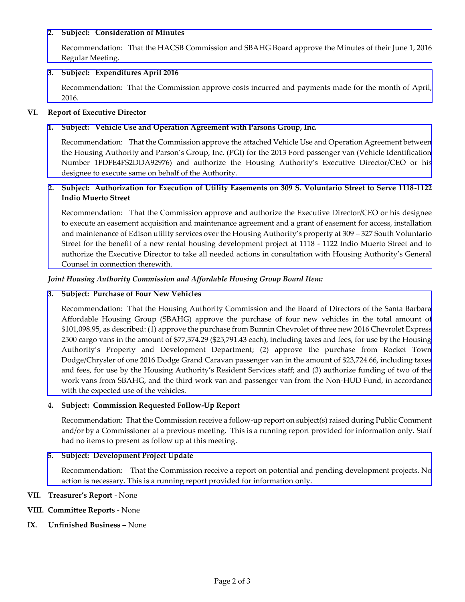#### **2. Subject: Consideration of Minutes**

Recommendation:That the HACSB Commission and SBAHG Board [approve the Minutes of their June 1, 2016](http://hacsb.org/download/meetings_2016_2/items/07_july/item_V_II_2016_07_06.pdf)  Regular Meeting.

#### **3. Subject: Expenditures April 2016**

[Recommendation: That the Commission approve costs incurred and payments made for the month of April,](http://hacsb.org/download/meetings_2016_2/items/07_july/item_V_III_2016_07_06.pdf)  2016.

#### **VI. Report of Executive Director**

### **1. Subject: Vehicle Use and Operation Agreement with Parsons Group, Inc.**

[Recommendation: That the Commission approve the attached Vehicle Use and Operation Agreement between](http://hacsb.org/download/meetings_2016_2/items/07_july/item_VI_I_2016_07_06.pdf)  the Housing Authority and Parson's Group, Inc. (PGI) for the 2013 Ford passenger van (Vehicle Identification Number 1FDFE4FS2DDA92976) and authorize the Housing Authority's Executive Director/CEO or his designee to execute same on behalf of the Authority.

## **[2. Subject: Authorization for Execution of Utility Easements on 309 S. Voluntario Street to Serve 1118-1122](http://hacsb.org/download/meetings_2016_2/items/07_july/item_VI_II_2016_07_06.pdf)  Indio Muerto Street**

Recommendation: That the Commission approve and authorize the Executive Director/CEO or his designee to execute an easement acquisition and maintenance agreement and a grant of easement for access, installation and maintenance of Edison utility services over the Housing Authority's property at 309 – 327 South Voluntario Street for the benefit of a new rental housing development project at 1118 - 1122 Indio Muerto Street and to authorize the Executive Director to take all needed actions in consultation with Housing Authority's General Counsel in connection therewith.

#### *Joint Housing Authority Commission and Affordable Housing Group Board Item:*

#### **3. Subject: Purchase of Four New Vehicles**

[Recommendation: That the Housing Authority Commission and the Board of Directors of the Santa Barbara](http://hacsb.org/download/meetings_2016_2/items/07_july/item_VI_III_2016_07_06.pdf)  Affordable Housing Group (SBAHG) approve the purchase of four new vehicles in the total amount of \$101,098.95, as described: (1) approve the purchase from Bunnin Chevrolet of three new 2016 Chevrolet Express 2500 cargo vans in the amount of \$77,374.29 (\$25,791.43 each), including taxes and fees, for use by the Housing Authority's Property and Development Department; (2) approve the purchase from Rocket Town Dodge/Chrysler of one 2016 Dodge Grand Caravan passenger van in the amount of \$23,724.66, including taxes and fees, for use by the Housing Authority's Resident Services staff; and (3) authorize funding of two of the work vans from SBAHG, and the third work van and passenger van from the Non-HUD Fund, in accordance with the expected use of the vehicles.

### **4. Subject: Commission Requested Follow-Up Report**

 Recommendation: That the Commission receive a follow-up report on subject(s) raised during Public Comment and/or by a Commissioner at a previous meeting. This is a running report provided for information only. Staff had no items to present as follow up at this meeting.

### **5. Subject: Development Project Update**

[Recommendation: That the Commission receive a report on potential and pending development projects. No](http://hacsb.org/download/meetings_2016_2/items/07_july/item_VI_V_2016_07_06.pdf)  action is necessary. This is a running report provided for information only.

#### **VII. Treasurer's Report** - None

### **VIII. Committee Reports** - None

### **IX. Unfinished Business** – None